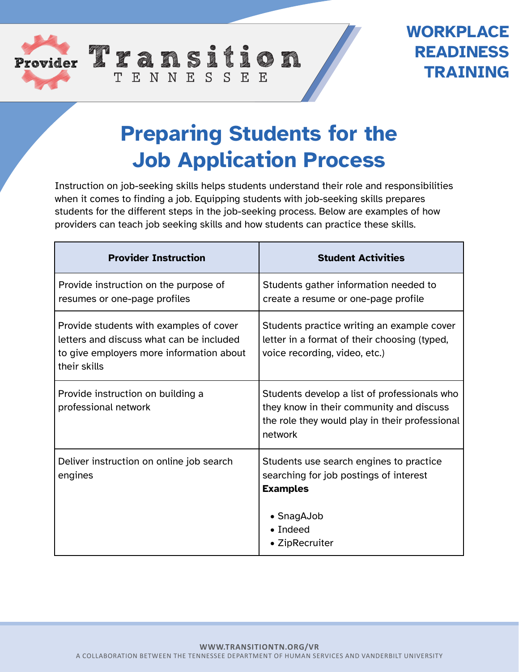

## **WORKPLACE READINESS TRAINING**

## **Preparing Students for the Job Application Process**

TENNESSEE

Instruction on job-seeking skills helps students understand their role and responsibilities when it comes to finding a job. Equipping students with job-seeking skills prepares students for the different steps in the job-seeking process. Below are examples of how providers can teach job seeking skills and how students can practice these skills.

| <b>Provider Instruction</b>                                                                                                                     | <b>Student Activities</b>                                                                                                                             |
|-------------------------------------------------------------------------------------------------------------------------------------------------|-------------------------------------------------------------------------------------------------------------------------------------------------------|
| Provide instruction on the purpose of<br>resumes or one-page profiles                                                                           | Students gather information needed to<br>create a resume or one-page profile                                                                          |
| Provide students with examples of cover<br>letters and discuss what can be included<br>to give employers more information about<br>their skills | Students practice writing an example cover<br>letter in a format of their choosing (typed,<br>voice recording, video, etc.)                           |
| Provide instruction on building a<br>professional network                                                                                       | Students develop a list of professionals who<br>they know in their community and discuss<br>the role they would play in their professional<br>network |
| Deliver instruction on online job search<br>engines                                                                                             | Students use search engines to practice<br>searching for job postings of interest<br><b>Examples</b><br>• SnagAJob                                    |
|                                                                                                                                                 | $\bullet$ Indeed<br>• ZipRecruiter                                                                                                                    |